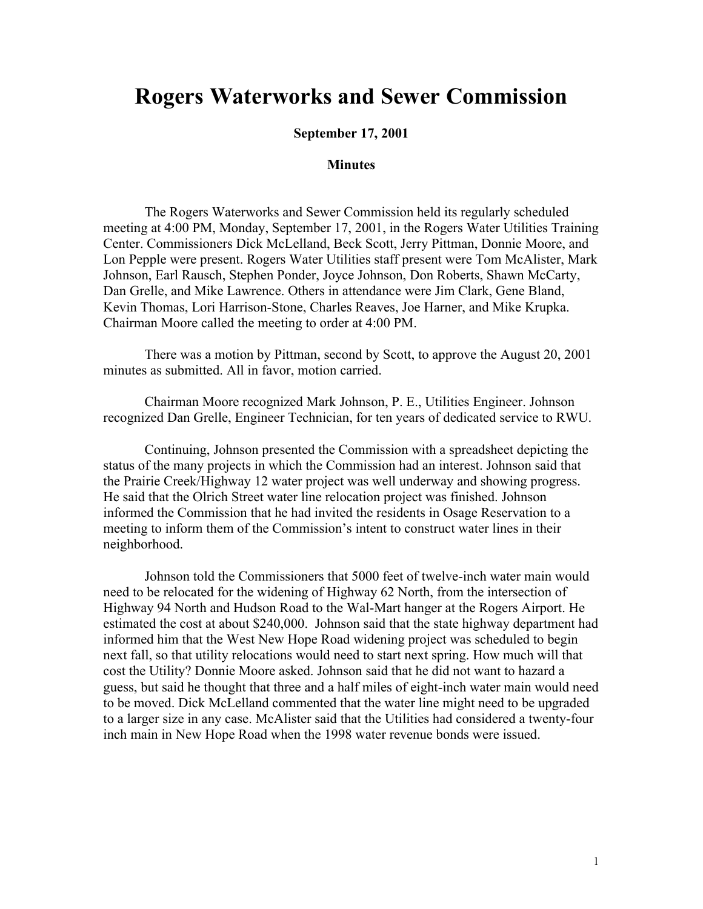## **Rogers Waterworks and Sewer Commission**

## **September 17, 2001**

## **Minutes**

The Rogers Waterworks and Sewer Commission held its regularly scheduled meeting at 4:00 PM, Monday, September 17, 2001, in the Rogers Water Utilities Training Center. Commissioners Dick McLelland, Beck Scott, Jerry Pittman, Donnie Moore, and Lon Pepple were present. Rogers Water Utilities staff present were Tom McAlister, Mark Johnson, Earl Rausch, Stephen Ponder, Joyce Johnson, Don Roberts, Shawn McCarty, Dan Grelle, and Mike Lawrence. Others in attendance were Jim Clark, Gene Bland, Kevin Thomas, Lori Harrison-Stone, Charles Reaves, Joe Harner, and Mike Krupka. Chairman Moore called the meeting to order at 4:00 PM.

There was a motion by Pittman, second by Scott, to approve the August 20, 2001 minutes as submitted. All in favor, motion carried.

Chairman Moore recognized Mark Johnson, P. E., Utilities Engineer. Johnson recognized Dan Grelle, Engineer Technician, for ten years of dedicated service to RWU.

Continuing, Johnson presented the Commission with a spreadsheet depicting the status of the many projects in which the Commission had an interest. Johnson said that the Prairie Creek/Highway 12 water project was well underway and showing progress. He said that the Olrich Street water line relocation project was finished. Johnson informed the Commission that he had invited the residents in Osage Reservation to a meeting to inform them of the Commission's intent to construct water lines in their neighborhood.

Johnson told the Commissioners that 5000 feet of twelve-inch water main would need to be relocated for the widening of Highway 62 North, from the intersection of Highway 94 North and Hudson Road to the Wal-Mart hanger at the Rogers Airport. He estimated the cost at about \$240,000. Johnson said that the state highway department had informed him that the West New Hope Road widening project was scheduled to begin next fall, so that utility relocations would need to start next spring. How much will that cost the Utility? Donnie Moore asked. Johnson said that he did not want to hazard a guess, but said he thought that three and a half miles of eight-inch water main would need to be moved. Dick McLelland commented that the water line might need to be upgraded to a larger size in any case. McAlister said that the Utilities had considered a twenty-four inch main in New Hope Road when the 1998 water revenue bonds were issued.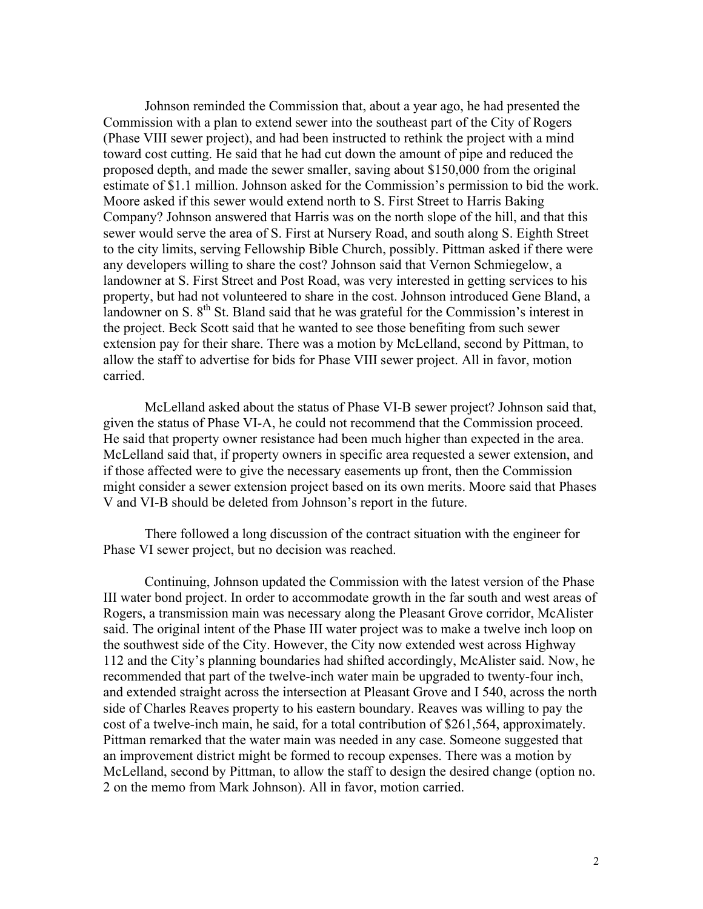Johnson reminded the Commission that, about a year ago, he had presented the Commission with a plan to extend sewer into the southeast part of the City of Rogers (Phase VIII sewer project), and had been instructed to rethink the project with a mind toward cost cutting. He said that he had cut down the amount of pipe and reduced the proposed depth, and made the sewer smaller, saving about \$150,000 from the original estimate of \$1.1 million. Johnson asked for the Commission's permission to bid the work. Moore asked if this sewer would extend north to S. First Street to Harris Baking Company? Johnson answered that Harris was on the north slope of the hill, and that this sewer would serve the area of S. First at Nursery Road, and south along S. Eighth Street to the city limits, serving Fellowship Bible Church, possibly. Pittman asked if there were any developers willing to share the cost? Johnson said that Vernon Schmiegelow, a landowner at S. First Street and Post Road, was very interested in getting services to his property, but had not volunteered to share in the cost. Johnson introduced Gene Bland, a landowner on S. 8<sup>th</sup> St. Bland said that he was grateful for the Commission's interest in the project. Beck Scott said that he wanted to see those benefiting from such sewer extension pay for their share. There was a motion by McLelland, second by Pittman, to allow the staff to advertise for bids for Phase VIII sewer project. All in favor, motion carried.

McLelland asked about the status of Phase VI-B sewer project? Johnson said that, given the status of Phase VI-A, he could not recommend that the Commission proceed. He said that property owner resistance had been much higher than expected in the area. McLelland said that, if property owners in specific area requested a sewer extension, and if those affected were to give the necessary easements up front, then the Commission might consider a sewer extension project based on its own merits. Moore said that Phases V and VI-B should be deleted from Johnson's report in the future.

There followed a long discussion of the contract situation with the engineer for Phase VI sewer project, but no decision was reached.

Continuing, Johnson updated the Commission with the latest version of the Phase III water bond project. In order to accommodate growth in the far south and west areas of Rogers, a transmission main was necessary along the Pleasant Grove corridor, McAlister said. The original intent of the Phase III water project was to make a twelve inch loop on the southwest side of the City. However, the City now extended west across Highway 112 and the City's planning boundaries had shifted accordingly, McAlister said. Now, he recommended that part of the twelve-inch water main be upgraded to twenty-four inch, and extended straight across the intersection at Pleasant Grove and I 540, across the north side of Charles Reaves property to his eastern boundary. Reaves was willing to pay the cost of a twelve-inch main, he said, for a total contribution of \$261,564, approximately. Pittman remarked that the water main was needed in any case. Someone suggested that an improvement district might be formed to recoup expenses. There was a motion by McLelland, second by Pittman, to allow the staff to design the desired change (option no. 2 on the memo from Mark Johnson). All in favor, motion carried.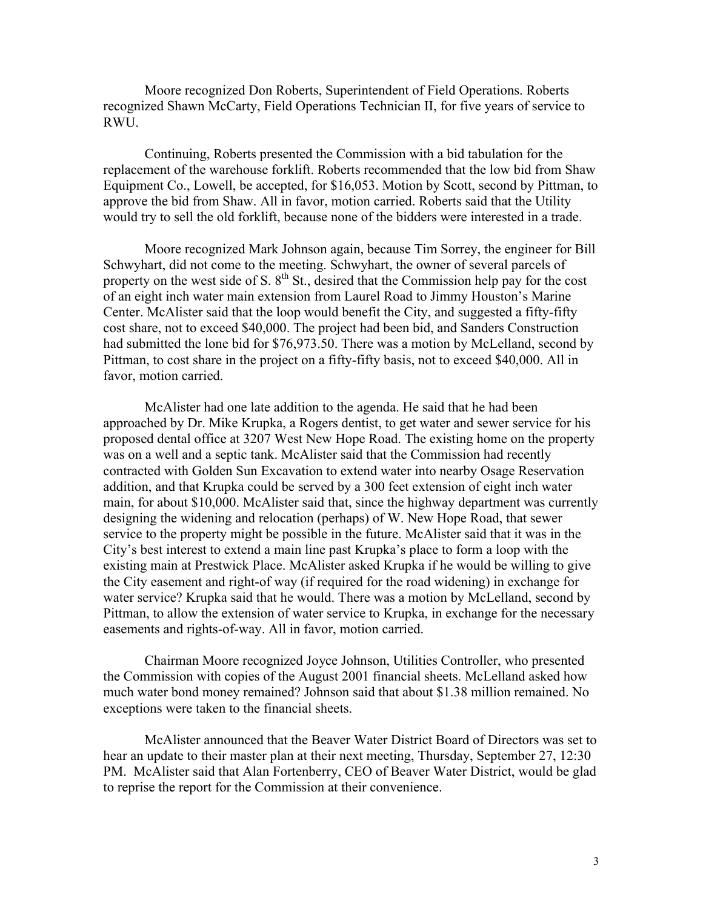Moore recognized Don Roberts, Superintendent of Field Operations. Roberts recognized Shawn McCarty, Field Operations Technician II, for five years of service to RWU.

Continuing, Roberts presented the Commission with a bid tabulation for the replacement of the warehouse forklift. Roberts recommended that the low bid from Shaw Equipment Co., Lowell, be accepted, for \$16,053. Motion by Scott, second by Pittman, to approve the bid from Shaw. All in favor, motion carried. Roberts said that the Utility would try to sell the old forklift, because none of the bidders were interested in a trade.

Moore recognized Mark Johnson again, because Tim Sorrey, the engineer for Bill Schwyhart, did not come to the meeting. Schwyhart, the owner of several parcels of property on the west side of S.  $8<sup>th</sup>$  St., desired that the Commission help pay for the cost of an eight inch water main extension from Laurel Road to Jimmy Houston's Marine Center. McAlister said that the loop would benefit the City, and suggested a fifty-fifty cost share, not to exceed \$40,000. The project had been bid, and Sanders Construction had submitted the lone bid for \$76,973.50. There was a motion by McLelland, second by Pittman, to cost share in the project on a fifty-fifty basis, not to exceed \$40,000. All in favor, motion carried.

McAlister had one late addition to the agenda. He said that he had been approached by Dr. Mike Krupka, a Rogers dentist, to get water and sewer service for his proposed dental office at 3207 West New Hope Road. The existing home on the property was on a well and a septic tank. McAlister said that the Commission had recently contracted with Golden Sun Excavation to extend water into nearby Osage Reservation addition, and that Krupka could be served by a 300 feet extension of eight inch water main, for about \$10,000. McAlister said that, since the highway department was currently designing the widening and relocation (perhaps) of W. New Hope Road, that sewer service to the property might be possible in the future. McAlister said that it was in the City's best interest to extend a main line past Krupka's place to form a loop with the existing main at Prestwick Place. McAlister asked Krupka if he would be willing to give the City easement and right-of way (if required for the road widening) in exchange for water service? Krupka said that he would. There was a motion by McLelland, second by Pittman, to allow the extension of water service to Krupka, in exchange for the necessary easements and rights-of-way. All in favor, motion carried.

Chairman Moore recognized Joyce Johnson, Utilities Controller, who presented the Commission with copies of the August 2001 financial sheets. McLelland asked how much water bond money remained? Johnson said that about \$1.38 million remained. No exceptions were taken to the financial sheets.

McAlister announced that the Beaver Water District Board of Directors was set to hear an update to their master plan at their next meeting, Thursday, September 27, 12:30 PM. McAlister said that Alan Fortenberry, CEO of Beaver Water District, would be glad to reprise the report for the Commission at their convenience.